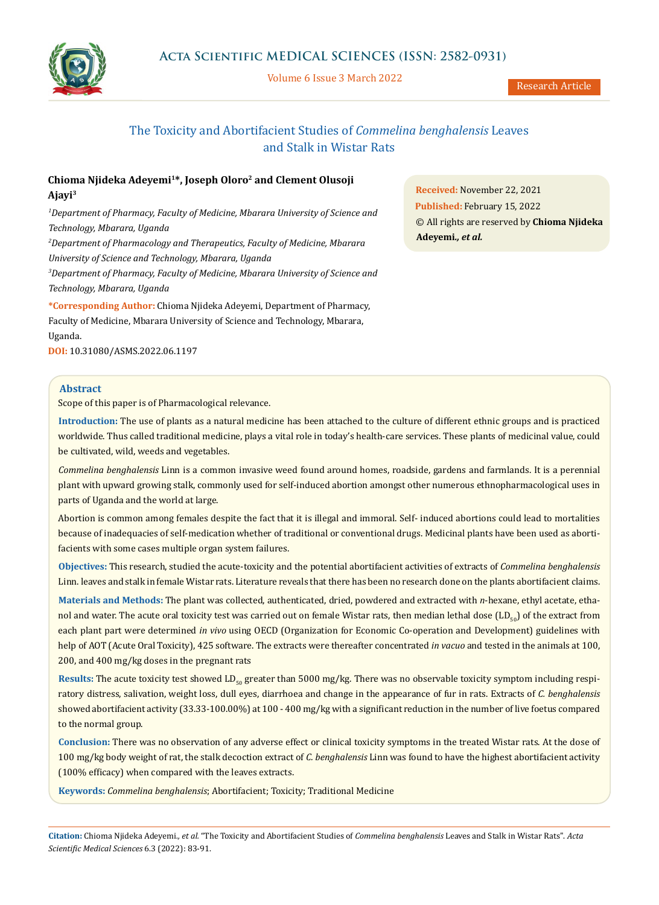

Volume 6 Issue 3 March 2022

Research Article

# The Toxicity and Abortifacient Studies of *Commelina benghalensis* Leaves and Stalk in Wistar Rats

## **Chioma Njideka Adeyemi1\*, Joseph Oloro2 and Clement Olusoji Ajayi3**

*1 Department of Pharmacy, Faculty of Medicine, Mbarara University of Science and Technology, Mbarara, Uganda 2 Department of Pharmacology and Therapeutics, Faculty of Medicine, Mbarara University of Science and Technology, Mbarara, Uganda 3 Department of Pharmacy, Faculty of Medicine, Mbarara University of Science and* 

*Technology, Mbarara, Uganda*

**\*Corresponding Author:** Chioma Njideka Adeyemi, Department of Pharmacy, Faculty of Medicine, Mbarara University of Science and Technology, Mbarara, Uganda.

**DOI:** [10.31080/ASMS.2022.06.1197](https://actascientific.com/ASMS/pdf/ASMS-06-1197.pdf)

## **Abstract**

Scope of this paper is of Pharmacological relevance.

**Introduction:** The use of plants as a natural medicine has been attached to the culture of different ethnic groups and is practiced worldwide. Thus called traditional medicine, plays a vital role in today's health-care services. These plants of medicinal value, could be cultivated, wild, weeds and vegetables.

*Commelina benghalensis* Linn is a common invasive weed found around homes, roadside, gardens and farmlands. It is a perennial plant with upward growing stalk, commonly used for self-induced abortion amongst other numerous ethnopharmacological uses in parts of Uganda and the world at large.

Abortion is common among females despite the fact that it is illegal and immoral. Self- induced abortions could lead to mortalities because of inadequacies of self-medication whether of traditional or conventional drugs. Medicinal plants have been used as abortifacients with some cases multiple organ system failures.

**Objectives:** This research, studied the acute-toxicity and the potential abortifacient activities of extracts of *Commelina benghalensis*  Linn. leaves and stalk in female Wistar rats. Literature reveals that there has been no research done on the plants abortifacient claims.

**Materials and Methods:** The plant was collected, authenticated, dried, powdered and extracted with *n*-hexane, ethyl acetate, ethanol and water. The acute oral toxicity test was carried out on female Wistar rats, then median lethal dose  $(LD_{50})$  of the extract from each plant part were determined *in vivo* using OECD (Organization for Economic Co-operation and Development) guidelines with help of AOT (Acute Oral Toxicity), 425 software. The extracts were thereafter concentrated *in vacuo* and tested in the animals at 100, 200, and 400 mg/kg doses in the pregnant rats

Results: The acute toxicity test showed LD<sub>50</sub> greater than 5000 mg/kg. There was no observable toxicity symptom including respiratory distress, salivation, weight loss, dull eyes, diarrhoea and change in the appearance of fur in rats. Extracts of *C. benghalensis* showed abortifacient activity (33.33-100.00%) at 100 - 400 mg/kg with a significant reduction in the number of live foetus compared to the normal group.

**Conclusion:** There was no observation of any adverse effect or clinical toxicity symptoms in the treated Wistar rats. At the dose of 100 mg/kg body weight of rat, the stalk decoction extract of *C. benghalensis* Linn was found to have the highest abortifacient activity (100% efficacy) when compared with the leaves extracts.

**Keywords:** *Commelina benghalensis*; Abortifacient; Toxicity; Traditional Medicine

**Received:** November 22, 2021 **Published:** February 15, 2022 © All rights are reserved by **Chioma Njideka Adeyemi***., et al.* 

**Citation:** Chioma Njideka Adeyemi*., et al.* "The Toxicity and Abortifacient Studies of *Commelina benghalensis* Leaves and Stalk in Wistar Rats". *Acta Scientific Medical Sciences* 6.3 (2022): 83-91.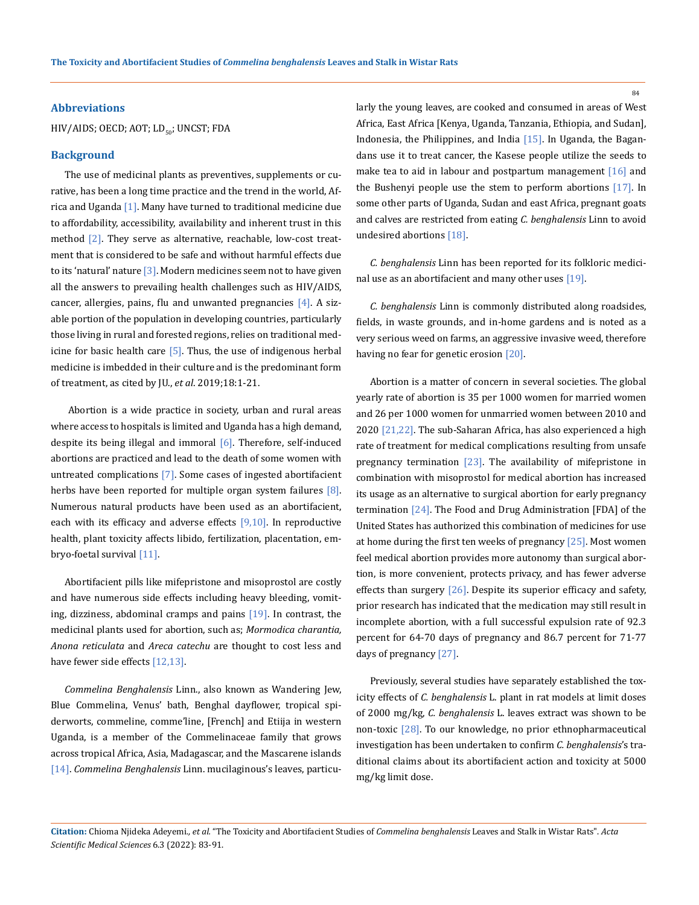#### **Abbreviations**

HIV/AIDS; OECD; AOT;  $LD_{50}$ ; UNCST; FDA

### **Background**

The use of medicinal plants as preventives, supplements or curative, has been a long time practice and the trend in the world, Africa and Uganda [1]. Many have turned to traditional medicine due to affordability, accessibility, availability and inherent trust in this method [2]. They serve as alternative, reachable, low-cost treatment that is considered to be safe and without harmful effects due to its 'natural' nature  $\lceil 3 \rceil$ . Modern medicines seem not to have given all the answers to prevailing health challenges such as HIV/AIDS, cancer, allergies, pains, flu and unwanted pregnancies  $[4]$ . A sizable portion of the population in developing countries, particularly those living in rural and forested regions, relies on traditional medicine for basic health care  $[5]$ . Thus, the use of indigenous herbal medicine is imbedded in their culture and is the predominant form of treatment, as cited by JU., *et al*. 2019;18:1-21.

 Abortion is a wide practice in society, urban and rural areas where access to hospitals is limited and Uganda has a high demand, despite its being illegal and immoral  $[6]$ . Therefore, self-induced abortions are practiced and lead to the death of some women with untreated complications [7]. Some cases of ingested abortifacient herbs have been reported for multiple organ system failures  $[8]$ . Numerous natural products have been used as an abortifacient, each with its efficacy and adverse effects  $[9,10]$ . In reproductive health, plant toxicity affects libido, fertilization, placentation, embryo-foetal survival [11].

Abortifacient pills like mifepristone and misoprostol are costly and have numerous side effects including heavy bleeding, vomiting, dizziness, abdominal cramps and pains  $[19]$ . In contrast, the medicinal plants used for abortion, such as; *Mormodica charantia, Anona reticulata* and *Areca catechu* are thought to cost less and have fewer side effects [12,13].

*Commelina Benghalensis* Linn., also known as Wandering Jew, Blue Commelina, Venus' bath, Benghal dayflower, tropical spiderworts, commeline, comme'line, [French] and Etiija in western Uganda, is a member of the Commelinaceae family that grows across tropical Africa, Asia, Madagascar, and the Mascarene islands [14]. *Commelina Benghalensis* Linn. mucilaginous's leaves, particularly the young leaves, are cooked and consumed in areas of West Africa, East Africa [Kenya, Uganda, Tanzania, Ethiopia, and Sudan], Indonesia, the Philippines, and India [15]. In Uganda, the Bagandans use it to treat cancer, the Kasese people utilize the seeds to make tea to aid in labour and postpartum management [16] and the Bushenyi people use the stem to perform abortions [17]. In some other parts of Uganda, Sudan and east Africa, pregnant goats and calves are restricted from eating *C. benghalensis* Linn to avoid undesired abortions [18].

*C. benghalensis* Linn has been reported for its folkloric medicinal use as an abortifacient and many other uses [19].

*C. benghalensis* Linn is commonly distributed along roadsides, fields, in waste grounds, and in-home gardens and is noted as a very serious weed on farms, an aggressive invasive weed, therefore having no fear for genetic erosion [20].

Abortion is a matter of concern in several societies. The global yearly rate of abortion is 35 per 1000 women for married women and 26 per 1000 women for unmarried women between 2010 and 2020 [21,22]. The sub-Saharan Africa, has also experienced a high rate of treatment for medical complications resulting from unsafe pregnancy termination  $[23]$ . The availability of mifepristone in combination with misoprostol for medical abortion has increased its usage as an alternative to surgical abortion for early pregnancy termination [24]. The Food and Drug Administration [FDA] of the United States has authorized this combination of medicines for use at home during the first ten weeks of pregnancy  $[25]$ . Most women feel medical abortion provides more autonomy than surgical abortion, is more convenient, protects privacy, and has fewer adverse effects than surgery [26]. Despite its superior efficacy and safety, prior research has indicated that the medication may still result in incomplete abortion, with a full successful expulsion rate of 92.3 percent for 64-70 days of pregnancy and 86.7 percent for 71-77 days of pregnancy [27].

Previously, several studies have separately established the toxicity effects of *C. benghalensis* L. plant in rat models at limit doses of 2000 mg/kg, *C. benghalensis* L. leaves extract was shown to be non-toxic [28]. To our knowledge, no prior ethnopharmaceutical investigation has been undertaken to confirm *C. benghalensis*'s traditional claims about its abortifacient action and toxicity at 5000 mg/kg limit dose.

**Citation:** Chioma Njideka Adeyemi*., et al.* "The Toxicity and Abortifacient Studies of *Commelina benghalensis* Leaves and Stalk in Wistar Rats". *Acta Scientific Medical Sciences* 6.3 (2022): 83-91.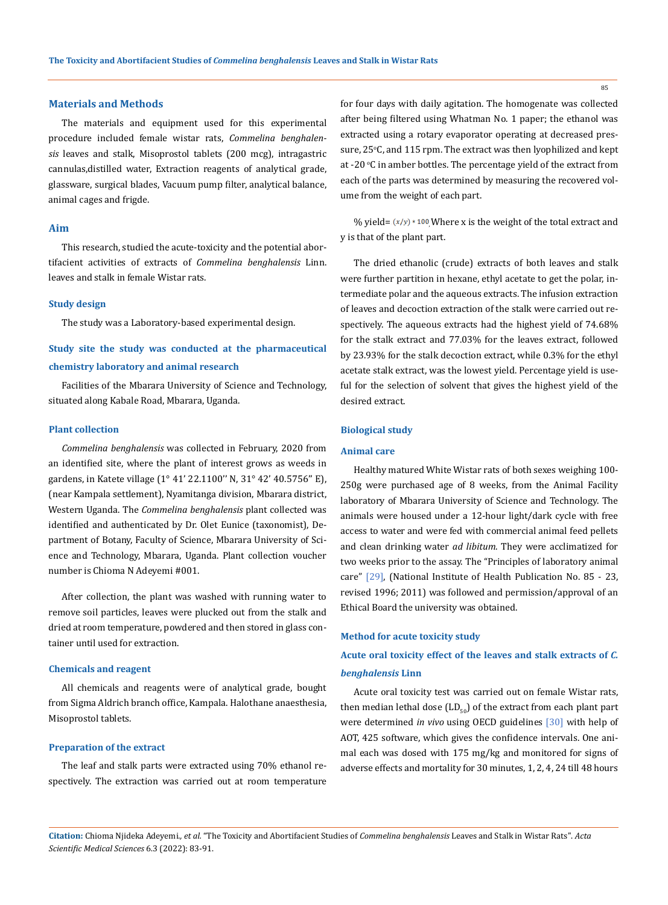#### **Materials and Methods**

The materials and equipment used for this experimental procedure included female wistar rats, *Commelina benghalensis* leaves and stalk, Misoprostol tablets (200 mcg), intragastric cannulas,distilled water, Extraction reagents of analytical grade, glassware, surgical blades, Vacuum pump filter, analytical balance, animal cages and frigde.

#### **Aim**

This research, studied the acute-toxicity and the potential abortifacient activities of extracts of *Commelina benghalensis* Linn. leaves and stalk in female Wistar rats.

#### **Study design**

The study was a Laboratory-based experimental design.

# **Study site the study was conducted at the pharmaceutical chemistry laboratory and animal research**

Facilities of the Mbarara University of Science and Technology, situated along Kabale Road, Mbarara, Uganda.

#### **Plant collection**

*Commelina benghalensis* was collected in February, 2020 from an identified site, where the plant of interest grows as weeds in gardens, in Katete village (1° 41' 22.1100'' N, 31° 42' 40.5756'' E), (near Kampala settlement), Nyamitanga division, Mbarara district, Western Uganda. The *Commelina benghalensis* plant collected was identified and authenticated by Dr. Olet Eunice (taxonomist), Department of Botany, Faculty of Science, Mbarara University of Science and Technology, Mbarara, Uganda. Plant collection voucher number is Chioma N Adeyemi #001.

After collection, the plant was washed with running water to remove soil particles, leaves were plucked out from the stalk and dried at room temperature, powdered and then stored in glass container until used for extraction.

#### **Chemicals and reagent**

All chemicals and reagents were of analytical grade, bought from Sigma Aldrich branch office, Kampala. Halothane anaesthesia, Misoprostol tablets.

#### **Preparation of the extract**

The leaf and stalk parts were extracted using 70% ethanol respectively. The extraction was carried out at room temperature for four days with daily agitation. The homogenate was collected after being filtered using Whatman No. 1 paper; the ethanol was extracted using a rotary evaporator operating at decreased pres- $\rm{sure}$ ,  $\rm{25^\circ C}$ , and  $\rm{115}$  rpm. The extract was then lyophilized and kept at -20 °C in amber bottles. The percentage yield of the extract from each of the parts was determined by measuring the recovered volume from the weight of each part.

% yield= $(x/y)$  \* 100 Where x is the weight of the total extract and y is that of the plant part.

The dried ethanolic (crude) extracts of both leaves and stalk were further partition in hexane, ethyl acetate to get the polar, intermediate polar and the aqueous extracts. The infusion extraction of leaves and decoction extraction of the stalk were carried out respectively. The aqueous extracts had the highest yield of 74.68% for the stalk extract and 77.03% for the leaves extract, followed by 23.93% for the stalk decoction extract, while 0.3% for the ethyl acetate stalk extract, was the lowest yield. Percentage yield is useful for the selection of solvent that gives the highest yield of the desired extract.

## **Biological study**

### **Animal care**

Healthy matured White Wistar rats of both sexes weighing 100- 250g were purchased age of 8 weeks, from the Animal Facility laboratory of Mbarara University of Science and Technology. The animals were housed under a 12-hour light/dark cycle with free access to water and were fed with commercial animal feed pellets and clean drinking water *ad libitum*. They were acclimatized for two weeks prior to the assay. The "Principles of laboratory animal care" [29], (National Institute of Health Publication No. 85 - 23, revised 1996; 2011) was followed and permission/approval of an Ethical Board the university was obtained.

## **Method for acute toxicity study**

**Acute oral toxicity effect of the leaves and stalk extracts of** *C. benghalensis* **Linn**

Acute oral toxicity test was carried out on female Wistar rats, then median lethal dose  $(LD_{50})$  of the extract from each plant part were determined *in vivo* using OECD guidelines [30] with help of AOT, 425 software, which gives the confidence intervals. One animal each was dosed with 175 mg/kg and monitored for signs of adverse effects and mortality for 30 minutes, 1, 2, 4, 24 till 48 hours

**Citation:** Chioma Njideka Adeyemi*., et al.* "The Toxicity and Abortifacient Studies of *Commelina benghalensis* Leaves and Stalk in Wistar Rats". *Acta Scientific Medical Sciences* 6.3 (2022): 83-91.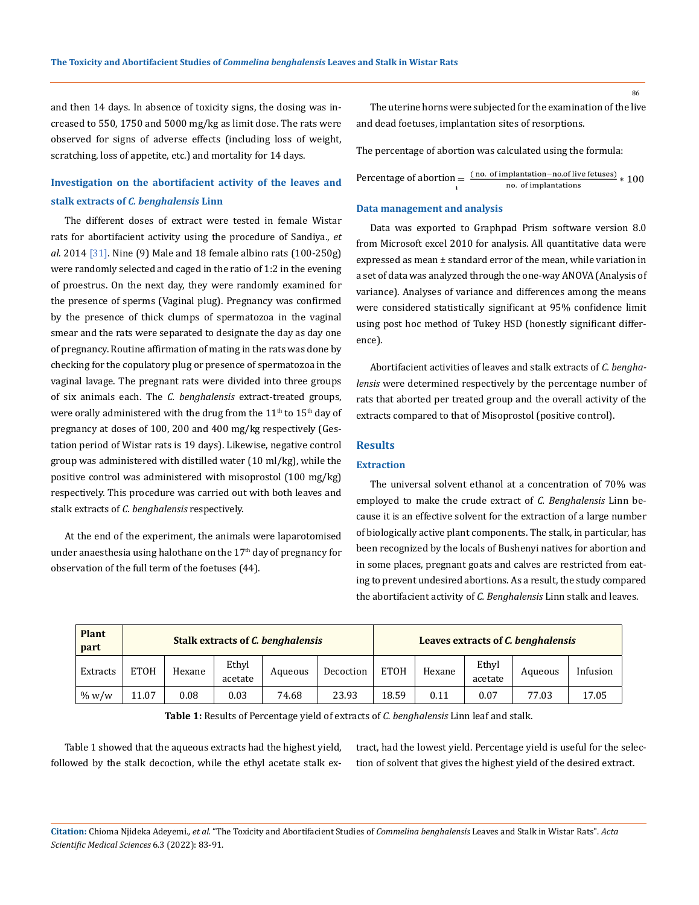and then 14 days. In absence of toxicity signs, the dosing was increased to 550, 1750 and 5000 mg/kg as limit dose. The rats were observed for signs of adverse effects (including loss of weight, scratching, loss of appetite, etc.) and mortality for 14 days.

# **Investigation on the abortifacient activity of the leaves and stalk extracts of** *C. benghalensis* **Linn**

The different doses of extract were tested in female Wistar rats for abortifacient activity using the procedure of Sandiya., *et al*. 2014 [31]. Nine (9) Male and 18 female albino rats (100-250g) were randomly selected and caged in the ratio of 1:2 in the evening of proestrus. On the next day, they were randomly examined for the presence of sperms (Vaginal plug). Pregnancy was confirmed by the presence of thick clumps of spermatozoa in the vaginal smear and the rats were separated to designate the day as day one of pregnancy. Routine affirmation of mating in the rats was done by checking for the copulatory plug or presence of spermatozoa in the vaginal lavage. The pregnant rats were divided into three groups of six animals each. The *C. benghalensis* extract-treated groups, were orally administered with the drug from the  $11<sup>th</sup>$  to  $15<sup>th</sup>$  day of pregnancy at doses of 100, 200 and 400 mg/kg respectively (Gestation period of Wistar rats is 19 days). Likewise, negative control group was administered with distilled water (10 ml/kg), while the positive control was administered with misoprostol (100 mg/kg) respectively. This procedure was carried out with both leaves and stalk extracts of *C. benghalensis* respectively.

At the end of the experiment, the animals were laparotomised under anaesthesia using halothane on the 17<sup>th</sup> day of pregnancy for observation of the full term of the foetuses (44).

The uterine horns were subjected for the examination of the live and dead foetuses, implantation sites of resorptions.

The percentage of abortion was calculated using the formula:

Percentage of abortion  $=\frac{(no. of implantation-noof live fetuses)}{no. of implantations} * 100$ 

## **Data management and analysis**

Data was exported to Graphpad Prism software version 8.0 from Microsoft excel 2010 for analysis. All quantitative data were expressed as mean ± standard error of the mean, while variation in a set of data was analyzed through the one-way ANOVA (Analysis of variance). Analyses of variance and differences among the means were considered statistically significant at 95% confidence limit using post hoc method of Tukey HSD (honestly significant difference).

Abortifacient activities of leaves and stalk extracts of *C. benghalensis* were determined respectively by the percentage number of rats that aborted per treated group and the overall activity of the extracts compared to that of Misoprostol (positive control).

## **Results**

## **Extraction**

The universal solvent ethanol at a concentration of 70% was employed to make the crude extract of *C. Benghalensis* Linn because it is an effective solvent for the extraction of a large number of biologically active plant components. The stalk, in particular, has been recognized by the locals of Bushenyi natives for abortion and in some places, pregnant goats and calves are restricted from eating to prevent undesired abortions. As a result, the study compared the abortifacient activity of *C. Benghalensis* Linn stalk and leaves.

| <b>Plant</b><br>part |             |        |                  | <b>Stalk extracts of C. benghalensis</b> |           | Leaves extracts of C. benghalensis |        |                  |         |          |  |  |
|----------------------|-------------|--------|------------------|------------------------------------------|-----------|------------------------------------|--------|------------------|---------|----------|--|--|
| Extracts             | <b>ETOH</b> | Hexane | Ethyl<br>acetate | Aqueous                                  | Decoction | <b>ETOH</b>                        | Hexane | Ethyl<br>acetate | Aqueous | Infusion |  |  |
| $\%$ w/w             | 11.07       | 0.08   | 0.03             | 74.68                                    | 23.93     | 18.59                              | 0.11   | 0.07             | 77.03   | 17.05    |  |  |

**Table 1:** Results of Percentage yield of extracts of *C. benghalensis* Linn leaf and stalk.

Table 1 showed that the aqueous extracts had the highest yield, followed by the stalk decoction, while the ethyl acetate stalk extract, had the lowest yield. Percentage yield is useful for the selection of solvent that gives the highest yield of the desired extract.

**Citation:** Chioma Njideka Adeyemi*., et al.* "The Toxicity and Abortifacient Studies of *Commelina benghalensis* Leaves and Stalk in Wistar Rats". *Acta Scientific Medical Sciences* 6.3 (2022): 83-91.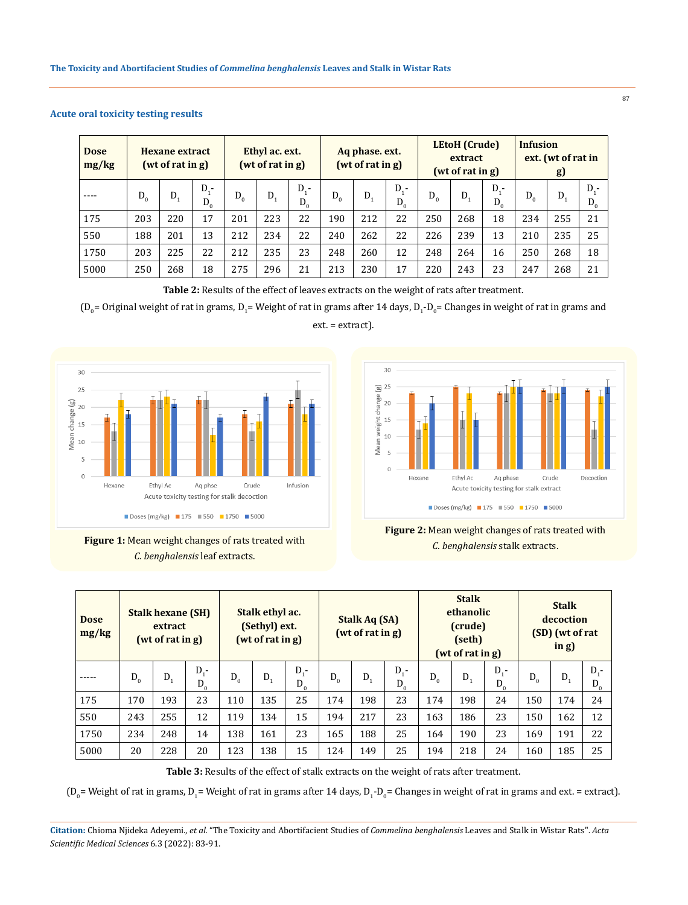| <b>Dose</b><br>mg/kg | <b>Hexane extract</b><br>(wt of rat in g) |     |                    | Ethyl ac. ext.<br>(wt of rat in g) |         |                         | Aq phase. ext.<br>(wt of rat in g) |     |                | <b>LEtoH</b> (Crude)<br>extract<br>(wt of rat in g) |     |                  | <b>Infusion</b><br>ext. (wt of rat in<br><b>g</b> ) |         |                |
|----------------------|-------------------------------------------|-----|--------------------|------------------------------------|---------|-------------------------|------------------------------------|-----|----------------|-----------------------------------------------------|-----|------------------|-----------------------------------------------------|---------|----------------|
|                      | $D_0$                                     | D.  | $D_{1}$ -<br>$D_0$ | $D_0$                              | $D_{1}$ | $D_{\alpha}$ -<br>$D_0$ | $D_0$                              | D.  | $D -$<br>$D_0$ | $D_0$                                               | D.  | $D_{i}$<br>$D_0$ | $D_0$                                               | $D_{1}$ | $D -$<br>$D_0$ |
| 175                  | 203                                       | 220 | 17                 | 201                                | 223     | 22                      | 190                                | 212 | 22             | 250                                                 | 268 | 18               | 234                                                 | 255     | 21             |
| 550                  | 188                                       | 201 | 13                 | 212                                | 234     | 22                      | 240                                | 262 | 22             | 226                                                 | 239 | 13               | 210                                                 | 235     | 25             |
| 1750                 | 203                                       | 225 | 22                 | 212                                | 235     | 23                      | 248                                | 260 | 12             | 248                                                 | 264 | 16               | 250                                                 | 268     | 18             |
| 5000                 | 250                                       | 268 | 18                 | 275                                | 296     | 21                      | 213                                | 230 | 17             | 220                                                 | 243 | 23               | 247                                                 | 268     | 21             |

## **Acute oral toxicity testing results**

**Table 2:** Results of the effect of leaves extracts on the weight of rats after treatment.

 $(D_0=0$ riginal weight of rat in grams,  $D_1=$  Weight of rat in grams after 14 days,  $D_1$ - $D_0=$  Changes in weight of rat in grams and ext. = extract).









| <b>Dose</b><br>mg/kg | <b>Stalk hexane (SH)</b><br>extract<br>(wt of rat in g) |       |                  | Stalk ethyl ac.<br>(Sethyl) ext.<br>(wt of rat in g) |         |                  | <b>Stalk Aq (SA)</b><br>(wt of rat in g) |       |                  | <b>Stalk</b><br>ethanolic<br>(crude)<br>(seth)<br>(wt of rat in g) |       |                  | <b>Stalk</b><br>decoction<br>(SD) (wt of rat<br>in g) |         |                  |
|----------------------|---------------------------------------------------------|-------|------------------|------------------------------------------------------|---------|------------------|------------------------------------------|-------|------------------|--------------------------------------------------------------------|-------|------------------|-------------------------------------------------------|---------|------------------|
|                      | $D_0$                                                   | $D_1$ | $D_1$ -<br>$D_0$ | $D_0$                                                | $D_{1}$ | $D_1$ -<br>$D_0$ | $D_{0}$                                  | $D_1$ | $D_1$ -<br>$D_0$ | $D_0$                                                              | $D_1$ | $D_1$ -<br>$D_0$ | $D_0$                                                 | $D_{1}$ | $D_1$ -<br>$D_0$ |
| 175                  | 170                                                     | 193   | 23               | 110                                                  | 135     | 25               | 174                                      | 198   | 23               | 174                                                                | 198   | 24               | 150                                                   | 174     | 24               |
| 550                  | 243                                                     | 255   | 12               | 119                                                  | 134     | 15               | 194                                      | 217   | 23               | 163                                                                | 186   | 23               | 150                                                   | 162     | 12               |
| 1750                 | 234                                                     | 248   | 14               | 138                                                  | 161     | 23               | 165                                      | 188   | 25               | 164                                                                | 190   | 23               | 169                                                   | 191     | 22               |
| 5000                 | 20                                                      | 228   | 20               | 123                                                  | 138     | 15               | 124                                      | 149   | 25               | 194                                                                | 218   | 24               | 160                                                   | 185     | 25               |

**Table 3:** Results of the effect of stalk extracts on the weight of rats after treatment.

 $(D_0$  = Weight of rat in grams,  $D_1$  = Weight of rat in grams after 14 days,  $D_1$ - $D_0$  = Changes in weight of rat in grams and ext. = extract).

**Citation:** Chioma Njideka Adeyemi*., et al.* "The Toxicity and Abortifacient Studies of *Commelina benghalensis* Leaves and Stalk in Wistar Rats". *Acta Scientific Medical Sciences* 6.3 (2022): 83-91.

87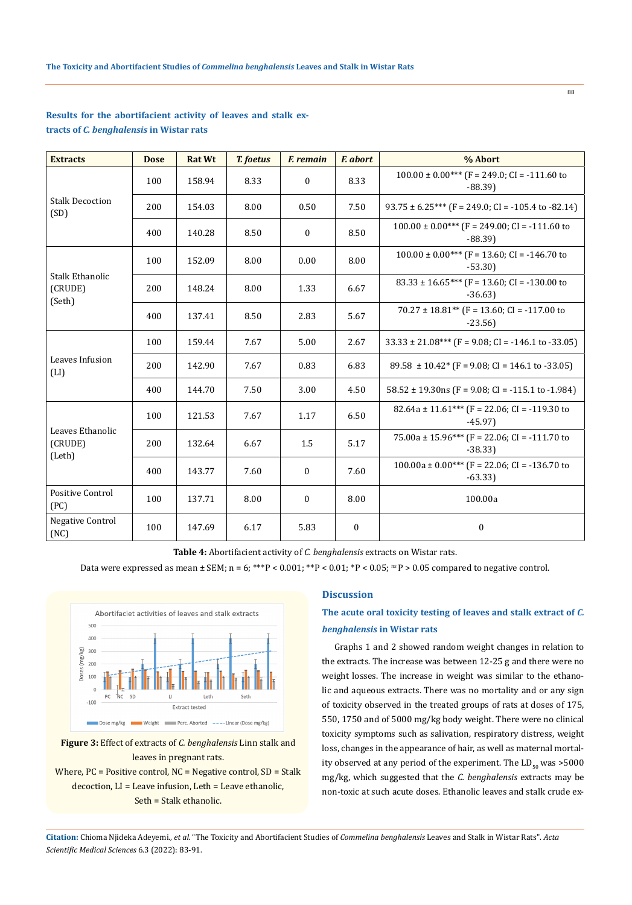| <b>Extracts</b>                             | <b>Dose</b> | <b>Rat Wt</b> | <b>T.</b> foetus | <b>F.</b> remain | <b>F.</b> abort                                              | % Abort                                                        |
|---------------------------------------------|-------------|---------------|------------------|------------------|--------------------------------------------------------------|----------------------------------------------------------------|
|                                             | 100         | 158.94        | 8.33             | $\boldsymbol{0}$ | 8.33                                                         | $100.00 \pm 0.00$ *** (F = 249.0; CI = -111.60 to<br>$-88.39$  |
| <b>Stalk Decoction</b><br>(SD)              | 200         | 154.03        | 8.00             | 0.50             | 7.50                                                         | $93.75 \pm 6.25$ *** (F = 249.0; CI = -105.4 to -82.14)        |
|                                             | 400         | 140.28        | 8.50             | 0                | 8.50                                                         | $100.00 \pm 0.00$ *** (F = 249.00; CI = -111.60 to<br>$-88.39$ |
|                                             | 100         | 152.09        | 8.00             | 0.00             | 8.00                                                         | $100.00 \pm 0.00$ *** (F = 13.60; CI = -146.70 to<br>$-53.30$  |
| Stalk Ethanolic<br>(CRUDE)<br>200<br>(Seth) | 148.24      | 8.00          | 1.33             | 6.67             | $83.33 \pm 16.65***$ (F = 13.60; CI = -130.00 to<br>$-36.63$ |                                                                |
|                                             | 400         | 137.41        | 8.50             | 2.83             | 5.67                                                         | $70.27 \pm 18.81**$ (F = 13.60; CI = -117.00 to<br>$-23.56$    |
|                                             | 100         | 159.44        | 7.67             | 5.00             | 2.67                                                         | $33.33 \pm 21.08***$ (F = 9.08; CI = -146.1 to -33.05)         |
| Leaves Infusion<br>(LI)                     | 200         | 142.90        | 7.67             | 0.83             | 6.83                                                         | $89.58 \pm 10.42$ (F = 9.08; CI = 146.1 to -33.05)             |
|                                             | 400         | 144.70        | 7.50             | 3.00             | 4.50                                                         | $58.52 \pm 19.30$ ns (F = 9.08; CI = -115.1 to -1.984)         |
|                                             | 100         | 121.53        | 7.67             | 1.17             | 6.50                                                         | 82.64a ± 11.61*** (F = 22.06; CI = -119.30 to<br>$-45.97$      |
| Leaves Ethanolic<br>(CRUDE)<br>(Leth)       | 200         | 132.64        | 6.67             | 1.5              | 5.17                                                         | 75.00a ± 15.96*** (F = 22.06; CI = -111.70 to<br>$-38.33$      |
|                                             | 400         | 143.77        | 7.60             | $\boldsymbol{0}$ | 7.60                                                         | $100.00a \pm 0.00***$ (F = 22.06; CI = -136.70 to<br>$-63.33$  |
| <b>Positive Control</b><br>(PC)             | 100         | 137.71        | 8.00             | $\boldsymbol{0}$ | 8.00                                                         | 100.00a                                                        |
| <b>Negative Control</b><br>(NC)             | 100         | 147.69        | 6.17             | 5.83             | $\mathbf{0}$                                                 | $\mathbf{0}$                                                   |

## **Results for the abortifacient activity of leaves and stalk extracts of** *C. benghalensis* **in Wistar rats**

**Table 4:** Abortifacient activity of *C. benghalensis* extracts on Wistar rats.

Data were expressed as mean  $\pm$  SEM; n = 6; \*\*\*P < 0.001; \*\*P < 0.01; \*P < 0.05; ns P > 0.05 compared to negative control.



**Figure 3:** Effect of extracts of *C. benghalensis* Linn stalk and leaves in pregnant rats.

Where, PC = Positive control, NC = Negative control, SD = Stalk decoction, LI = Leave infusion, Leth = Leave ethanolic, Seth = Stalk ethanolic.

## **Discussion**

# **The acute oral toxicity testing of leaves and stalk extract of** *C. benghalensis* **in Wistar rats**

88

Graphs 1 and 2 showed random weight changes in relation to the extracts. The increase was between 12-25 g and there were no weight losses. The increase in weight was similar to the ethanolic and aqueous extracts. There was no mortality and or any sign of toxicity observed in the treated groups of rats at doses of 175, 550, 1750 and of 5000 mg/kg body weight. There were no clinical toxicity symptoms such as salivation, respiratory distress, weight loss, changes in the appearance of hair, as well as maternal mortality observed at any period of the experiment. The  $LD_{50}$  was >5000 mg/kg, which suggested that the *C. benghalensis* extracts may be non-toxic at such acute doses. Ethanolic leaves and stalk crude ex-

**Citation:** Chioma Njideka Adeyemi*., et al.* "The Toxicity and Abortifacient Studies of *Commelina benghalensis* Leaves and Stalk in Wistar Rats". *Acta Scientific Medical Sciences* 6.3 (2022): 83-91.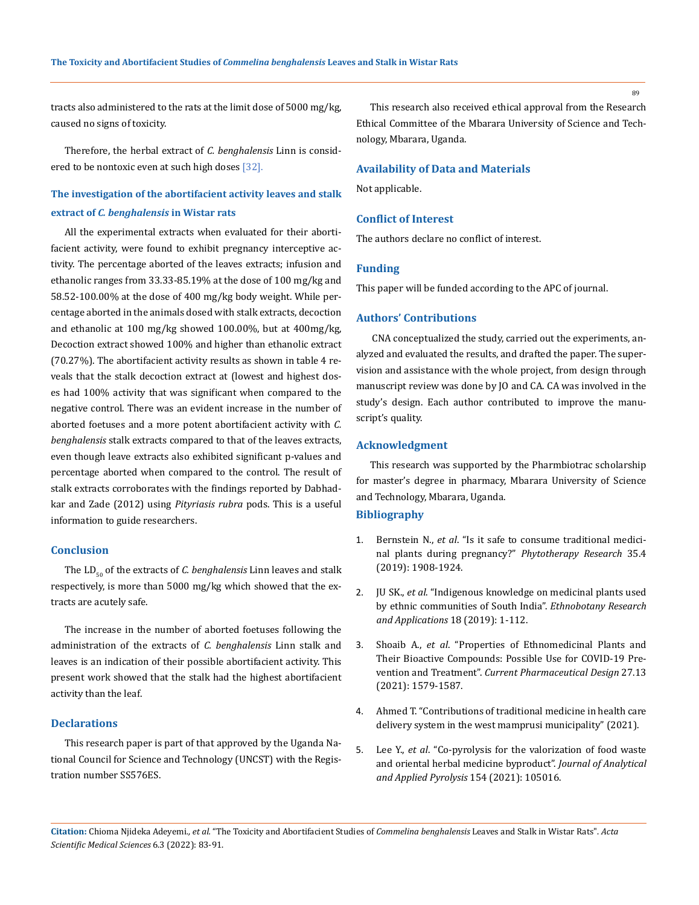tracts also administered to the rats at the limit dose of 5000 mg/kg, caused no signs of toxicity.

Therefore, the herbal extract of *C. benghalensis* Linn is considered to be nontoxic even at such high doses [32].

# **The investigation of the abortifacient activity leaves and stalk extract of** *C. benghalensis* **in Wistar rats**

All the experimental extracts when evaluated for their abortifacient activity, were found to exhibit pregnancy interceptive activity. The percentage aborted of the leaves extracts; infusion and ethanolic ranges from 33.33-85.19% at the dose of 100 mg/kg and 58.52-100.00% at the dose of 400 mg/kg body weight. While percentage aborted in the animals dosed with stalk extracts, decoction and ethanolic at 100 mg/kg showed 100.00%, but at 400mg/kg, Decoction extract showed 100% and higher than ethanolic extract (70.27%). The abortifacient activity results as shown in table 4 reveals that the stalk decoction extract at (lowest and highest doses had 100% activity that was significant when compared to the negative control. There was an evident increase in the number of aborted foetuses and a more potent abortifacient activity with *C. benghalensis* stalk extracts compared to that of the leaves extracts, even though leave extracts also exhibited significant p-values and percentage aborted when compared to the control. The result of stalk extracts corroborates with the findings reported by Dabhadkar and Zade (2012) using *Pityriasis rubra* pods. This is a useful information to guide researchers.

#### **Conclusion**

The LD<sub>50</sub> of the extracts of *C. benghalensis* Linn leaves and stalk respectively, is more than 5000 mg/kg which showed that the extracts are acutely safe.

The increase in the number of aborted foetuses following the administration of the extracts of *C. benghalensis* Linn stalk and leaves is an indication of their possible abortifacient activity. This present work showed that the stalk had the highest abortifacient activity than the leaf.

### **Declarations**

This research paper is part of that approved by the Uganda National Council for Science and Technology (UNCST) with the Registration number SS576ES.

This research also received ethical approval from the Research Ethical Committee of the Mbarara University of Science and Technology, Mbarara, Uganda.

#### **Availability of Data and Materials**

Not applicable.

## **Conflict of Interest**

The authors declare no conflict of interest.

### **Funding**

This paper will be funded according to the APC of journal.

#### **Authors' Contributions**

 CNA conceptualized the study, carried out the experiments, analyzed and evaluated the results, and drafted the paper. The supervision and assistance with the whole project, from design through manuscript review was done by JO and CA. CA was involved in the study's design. Each author contributed to improve the manuscript's quality.

### **Acknowledgment**

This research was supported by the Pharmbiotrac scholarship for master's degree in pharmacy, Mbarara University of Science and Technology, Mbarara, Uganda.

## **Bibliography**

- 1. Bernstein N., *et al*[. "Is it safe to consume traditional medici](https://onlinelibrary.wiley.com/doi/abs/10.1002/ptr.6935)[nal plants during pregnancy?"](https://onlinelibrary.wiley.com/doi/abs/10.1002/ptr.6935) *Phytotherapy Research* 35.4 [\(2019\): 1908-1924.](https://onlinelibrary.wiley.com/doi/abs/10.1002/ptr.6935)
- 2. JU SK., *et al*[. "Indigenous knowledge on medicinal plants used](https://ethnobotanyjournal.org/index.php/era/article/view/1291)  [by ethnic communities of South India".](https://ethnobotanyjournal.org/index.php/era/article/view/1291) *Ethnobotany Research [and Applications](https://ethnobotanyjournal.org/index.php/era/article/view/1291)* 18 (2019): 1-112.
- 3. Shoaib A., *et al*[. "Properties of Ethnomedicinal Plants and](https://doi.org/10.2174/1381612826666201106092021)  [Their Bioactive Compounds: Possible Use for COVID-19 Pre](https://doi.org/10.2174/1381612826666201106092021)vention and Treatment". *[Current Pharmaceutical Design](https://doi.org/10.2174/1381612826666201106092021)* 27.13 [\(2021\): 1579-1587.](https://doi.org/10.2174/1381612826666201106092021)
- 4. [Ahmed T. "Contributions of traditional medicine in health care](http://www.udsspace.uds.edu.gh/handle/123456789/2957)  [delivery system in the west mamprusi municipality" \(2021\).](http://www.udsspace.uds.edu.gh/handle/123456789/2957)
- 5. Lee Y., *et al*[. "Co-pyrolysis for the valorization of food waste](https://doi.org/10.1016/j.jaap.2021.105016)  [and oriental herbal medicine byproduct".](https://doi.org/10.1016/j.jaap.2021.105016) *Journal of Analytical [and Applied Pyrolysis](https://doi.org/10.1016/j.jaap.2021.105016)* 154 (2021): 105016.

**Citation:** Chioma Njideka Adeyemi*., et al.* "The Toxicity and Abortifacient Studies of *Commelina benghalensis* Leaves and Stalk in Wistar Rats". *Acta Scientific Medical Sciences* 6.3 (2022): 83-91.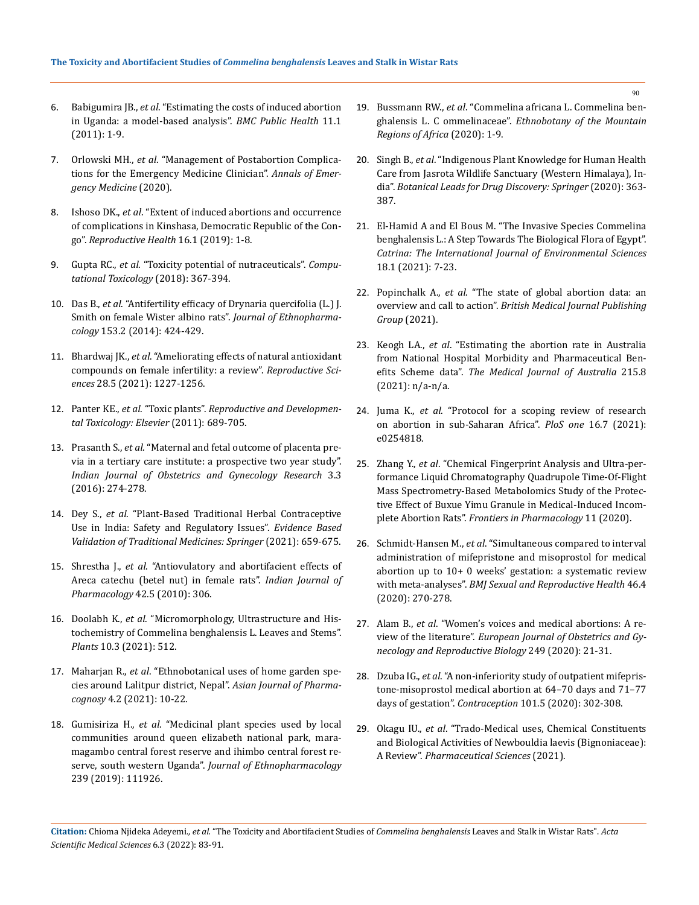- 6. Babigumira JB., *et al*[. "Estimating the costs of induced abortion](https://link.springer.com/article/10.1186/1471-2458-11-904)  [in Uganda: a model-based analysis".](https://link.springer.com/article/10.1186/1471-2458-11-904) *BMC Public Health* 11.1 [\(2011\): 1-9.](https://link.springer.com/article/10.1186/1471-2458-11-904)
- 7. Orlowski MH., *et al*[. "Management of Postabortion Complica](https://doi.org/10.1016/j.annemergmed.2020.09.008)[tions for the Emergency Medicine Clinician".](https://doi.org/10.1016/j.annemergmed.2020.09.008) *Annals of Emer[gency Medicine](https://doi.org/10.1016/j.annemergmed.2020.09.008)* (2020).
- 8. Ishoso DK., *et al*[. "Extent of induced abortions and occurrence](https://doi.org/10.1186/s12978-019-0727-4)  [of complications in Kinshasa, Democratic Republic of the Con](https://doi.org/10.1186/s12978-019-0727-4)go". *[Reproductive Health](https://doi.org/10.1186/s12978-019-0727-4)* 16.1 (2019): 1-8.
- 9. Gupta RC., *et al*[. "Toxicity potential of nutraceuticals".](https://link.springer.com/protocol/10.1007/978-1-4939-7899-1_1) *Compu[tational Toxicology](https://link.springer.com/protocol/10.1007/978-1-4939-7899-1_1)* (2018): 367-394.
- 10. Das B., *et al*[. "Antifertility efficacy of Drynaria quercifolia \(L.\) J.](https://doi.org/10.1016/j.jep.2014.02.047)  [Smith on female Wister albino rats".](https://doi.org/10.1016/j.jep.2014.02.047) *Journal of Ethnopharmacology* [153.2 \(2014\): 424-429.](https://doi.org/10.1016/j.jep.2014.02.047)
- 11. Bhardwaj JK., *et al*[. "Ameliorating effects of natural antioxidant](https://doi.org/10.1007/s43032-020-00312-5)  [compounds on female infertility: a review".](https://doi.org/10.1007/s43032-020-00312-5) *Reproductive Sciences* [28.5 \(2021\): 1227-1256.](https://doi.org/10.1007/s43032-020-00312-5)
- 12. Panter KE., *et al*. "Toxic plants". *[Reproductive and Developmen](https://doi.org/10.1016/B978-0-12-382032-7.10051-7)[tal Toxicology: Elsevier](https://doi.org/10.1016/B978-0-12-382032-7.10051-7)* (2011): 689-705.
- 13. Prasanth S., *et al*[. "Maternal and fetal outcome of placenta pre](https://www.ijogr.org/journal-article-file/2569)[via in a tertiary care institute: a prospective two year study".](https://www.ijogr.org/journal-article-file/2569)  *[Indian Journal of Obstetrics and Gynecology Research](https://www.ijogr.org/journal-article-file/2569)* 3.3 [\(2016\): 274-278.](https://www.ijogr.org/journal-article-file/2569)
- 14. Dey S., *et al*. "Plant-Based Traditional Herbal Contraceptive Use in India: Safety and Regulatory Issues". *Evidence Based Validation of Traditional Medicines: Springer* (2021): 659-675.
- 15. Shrestha J., *et al*[. "Antiovulatory and abortifacient effects of](https://pubmed.ncbi.nlm.nih.gov/21206624/)  [Areca catechu \(betel nut\) in female rats".](https://pubmed.ncbi.nlm.nih.gov/21206624/) *Indian Journal of Pharmacology* [42.5 \(2010\): 306.](https://pubmed.ncbi.nlm.nih.gov/21206624/)
- 16. Doolabh K., *et al*. "Micromorphology, Ultrastructure and Histochemistry of Commelina benghalensis L. Leaves and Stems". *Plants* 10.3 (2021): 512.
- 17. Maharjan R., *et al*[. "Ethnobotanical uses of home garden spe](https://doi.org/10.3390/plants10030512)[cies around Lalitpur district, Nepal".](https://doi.org/10.3390/plants10030512) *Asian Journal of Pharmacognosy* [4.2 \(2021\): 10-22.](https://doi.org/10.3390/plants10030512)
- 18. Gumisiriza H., *et al*[. "Medicinal plant species used by local](https://doi.org/10.1016/j.jep.2019.111926)  [communities around queen elizabeth national park, mara](https://doi.org/10.1016/j.jep.2019.111926)[magambo central forest reserve and ihimbo central forest re](https://doi.org/10.1016/j.jep.2019.111926)serve, south western Uganda". *[Journal of Ethnopharmacology](https://doi.org/10.1016/j.jep.2019.111926)* [239 \(2019\): 111926.](https://doi.org/10.1016/j.jep.2019.111926)
- 19. Bussmann RW., *et al*[. "Commelina africana L. Commelina ben](https://doi.org/10.1007/978-3-319-77086-4_47-1)ghalensis L. C ommelinaceae". *[Ethnobotany of the Mountain](https://doi.org/10.1007/978-3-319-77086-4_47-1)  [Regions of Africa](https://doi.org/10.1007/978-3-319-77086-4_47-1)* (2020): 1-9.
- 20. Singh B., *et al*[. "Indigenous Plant Knowledge for Human Health](https://www.researchgate.net/publication/344598048_Indigenous_Plant_Knowledge_for_Human_Health_Care_from_Jasrota_Wildlife_Sanctuary_Western_Himalaya_India)  [Care from Jasrota Wildlife Sanctuary \(Western Himalaya\), In](https://www.researchgate.net/publication/344598048_Indigenous_Plant_Knowledge_for_Human_Health_Care_from_Jasrota_Wildlife_Sanctuary_Western_Himalaya_India)dia". *[Botanical Leads for Drug Discovery: Springer](https://www.researchgate.net/publication/344598048_Indigenous_Plant_Knowledge_for_Human_Health_Care_from_Jasrota_Wildlife_Sanctuary_Western_Himalaya_India)* (2020): 363- [387.](https://www.researchgate.net/publication/344598048_Indigenous_Plant_Knowledge_for_Human_Health_Care_from_Jasrota_Wildlife_Sanctuary_Western_Himalaya_India)
- 21. [El-Hamid A and El Bous M. "The Invasive Species Commelina](https://cat.journals.ekb.eg/article_28585.html)  [benghalensis L.: A Step Towards The Biological Flora of Egypt".](https://cat.journals.ekb.eg/article_28585.html)  *[Catrina: The International Journal of Environmental Sciences](https://cat.journals.ekb.eg/article_28585.html)* [18.1 \(2021\): 7-23.](https://cat.journals.ekb.eg/article_28585.html)
- 22. Popinchalk A., *et al*[. "The state of global abortion data: an](http://dx.doi.org/10.1136/bmjsrh-2021-201109)  overview and call to action". *[British Medical Journal Publishing](http://dx.doi.org/10.1136/bmjsrh-2021-201109)  Group* [\(2021\).](http://dx.doi.org/10.1136/bmjsrh-2021-201109)
- 23. Keogh LA., *et al*[. "Estimating the abortion rate in Australia](https://www.mja.com.au/system/files/issues/215_08/mja251217.pdf)  [from National Hospital Morbidity and Pharmaceutical Ben](https://www.mja.com.au/system/files/issues/215_08/mja251217.pdf)efits Scheme data". *[The Medical Journal of Australia](https://www.mja.com.au/system/files/issues/215_08/mja251217.pdf)* 215.8 [\(2021\): n/a-n/a.](https://www.mja.com.au/system/files/issues/215_08/mja251217.pdf)
- 24. Juma K., *et al*[. "Protocol for a scoping review of research](https://doi.org/10.1371/journal.pone.0254818)  [on abortion in sub-Saharan Africa".](https://doi.org/10.1371/journal.pone.0254818) *PloS one* 16.7 (2021): [e0254818.](https://doi.org/10.1371/journal.pone.0254818)
- 25. Zhang Y., *et al*[. "Chemical Fingerprint Analysis and Ultra-per](https://www.frontiersin.org/articles/10.3389/fphar.2020.578217/full)[formance Liquid Chromatography Quadrupole Time-Of-Flight](https://www.frontiersin.org/articles/10.3389/fphar.2020.578217/full)  [Mass Spectrometry-Based Metabolomics Study of the Protec](https://www.frontiersin.org/articles/10.3389/fphar.2020.578217/full)[tive Effect of Buxue Yimu Granule in Medical-Induced Incom](https://www.frontiersin.org/articles/10.3389/fphar.2020.578217/full)plete Abortion Rats". *[Frontiers in Pharmacology](https://www.frontiersin.org/articles/10.3389/fphar.2020.578217/full)* 11 (2020).
- 26. Schmidt-Hansen M., *et al*[. "Simultaneous compared to interval](http://orcid.org/0000-0002-4503-6870)  [administration of mifepristone and misoprostol for medical](http://orcid.org/0000-0002-4503-6870)  [abortion up to 10+ 0 weeks' gestation: a systematic review](http://orcid.org/0000-0002-4503-6870)  with meta-analyses". *[BMJ Sexual and Reproductive Health](http://orcid.org/0000-0002-4503-6870)* 46.4 [\(2020\): 270-278.](http://orcid.org/0000-0002-4503-6870)
- 27. Alam B., *et al*[. "Women's voices and medical abortions: A re](https://doi.org/10.1016/j.ejogrb.2020.04.003)view of the literature". *[European Journal of Obstetrics and Gy](https://doi.org/10.1016/j.ejogrb.2020.04.003)[necology and Reproductive Biology](https://doi.org/10.1016/j.ejogrb.2020.04.003)* 249 (2020): 21-31.
- 28. Dzuba IG., *et al*[. "A non-inferiority study of outpatient mifepris](https://doi.org/10.1016/j.contraception.2020.01.009)[tone-misoprostol medical abortion at 64–70 days and 71–77](https://doi.org/10.1016/j.contraception.2020.01.009)  days of gestation". *Contraception* [101.5 \(2020\): 302-308.](https://doi.org/10.1016/j.contraception.2020.01.009)
- 29. Okagu IU., *et al*[. "Trado-Medical uses, Chemical Constituents](https://ps.tbzmed.ac.ir/Inpress/ps-34095.pdf)  [and Biological Activities of Newbouldia laevis \(Bignoniaceae\):](https://ps.tbzmed.ac.ir/Inpress/ps-34095.pdf)  A Review". *[Pharmaceutical Sciences](https://ps.tbzmed.ac.ir/Inpress/ps-34095.pdf)* (2021).

**Citation:** Chioma Njideka Adeyemi*., et al.* "The Toxicity and Abortifacient Studies of *Commelina benghalensis* Leaves and Stalk in Wistar Rats". *Acta Scientific Medical Sciences* 6.3 (2022): 83-91.